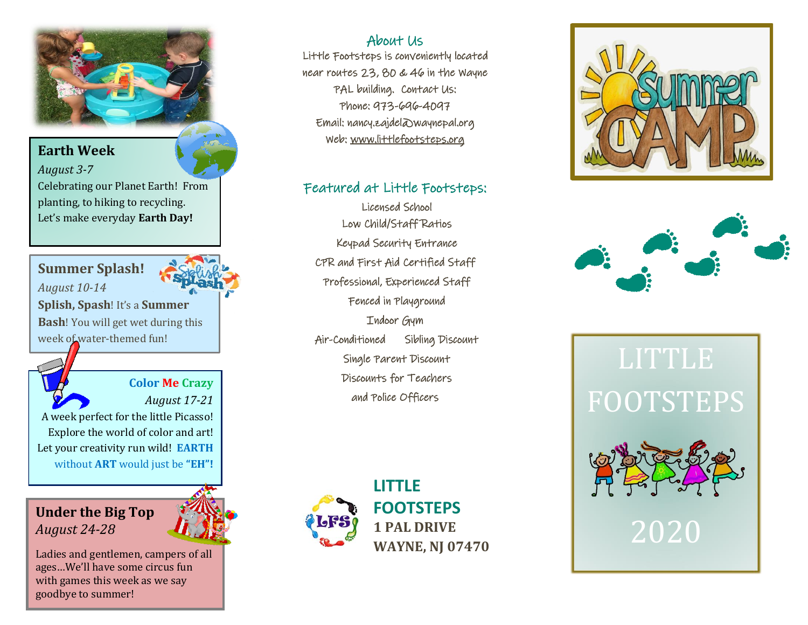

#### About Us

Little Footsteps is conveniently located near routes 23, 80 & 46 in the Wayne PAL building. Contact Us: Phone: 973-696-4097 Email: nancy.zajdel@waynepal.org Web: [www.littlefootsteps.org](http://www.littlefootsteps.org/) 

#### Featured at Little Footsteps:

 Licensed School Low Child/Staff Ratios Keypad Security Entrance CPR and First Aid Certified Staff Professional, Experienced Staff Fenced in Playground Indoor Gym Air-Conditioned Sibling Discount Single Parent Discount Discounts for Teachers and Police Officers



**LITTLE FOOTSTEPS 1 PAL DRIVE WAYNE, NJ 07470**